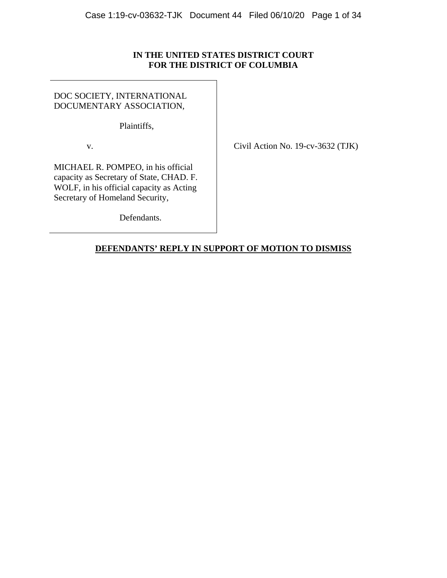### **IN THE UNITED STATES DISTRICT COURT FOR THE DISTRICT OF COLUMBIA**

DOC SOCIETY, INTERNATIONAL DOCUMENTARY ASSOCIATION,

Plaintiffs,

v. Civil Action No. 19-cv-3632 (TJK)

MICHAEL R. POMPEO, in his official capacity as Secretary of State, CHAD. F. WOLF, in his official capacity as Acting Secretary of Homeland Security,

Defendants.

## **DEFENDANTS' REPLY IN SUPPORT OF MOTION TO DISMISS**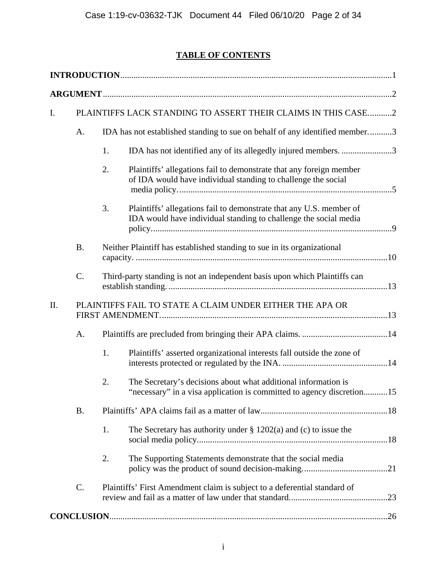# **TABLE OF CONTENTS**

| I.  | PLAINTIFFS LACK STANDING TO ASSERT THEIR CLAIMS IN THIS CASE2 |                                                                             |                                                                                                                                         |  |
|-----|---------------------------------------------------------------|-----------------------------------------------------------------------------|-----------------------------------------------------------------------------------------------------------------------------------------|--|
|     | A.                                                            | IDA has not established standing to sue on behalf of any identified member3 |                                                                                                                                         |  |
|     |                                                               | 1.                                                                          | IDA has not identified any of its allegedly injured members. 3                                                                          |  |
|     |                                                               | 2.                                                                          | Plaintiffs' allegations fail to demonstrate that any foreign member<br>of IDA would have individual standing to challenge the social    |  |
|     |                                                               | 3.                                                                          | Plaintiffs' allegations fail to demonstrate that any U.S. member of<br>IDA would have individual standing to challenge the social media |  |
|     | <b>B.</b>                                                     |                                                                             | Neither Plaintiff has established standing to sue in its organizational                                                                 |  |
|     | $\mathcal{C}$ .                                               |                                                                             | Third-party standing is not an independent basis upon which Plaintiffs can                                                              |  |
| II. |                                                               |                                                                             | PLAINTIFFS FAIL TO STATE A CLAIM UNDER EITHER THE APA OR                                                                                |  |
|     | A.                                                            |                                                                             |                                                                                                                                         |  |
|     |                                                               | 1.                                                                          | Plaintiffs' asserted organizational interests fall outside the zone of                                                                  |  |
|     |                                                               | 2.                                                                          | The Secretary's decisions about what additional information is<br>"necessary" in a visa application is committed to agency discretion15 |  |
|     | <b>B.</b>                                                     |                                                                             |                                                                                                                                         |  |
|     |                                                               | 1.                                                                          | The Secretary has authority under $\S 1202(a)$ and (c) to issue the                                                                     |  |
|     |                                                               | 2.                                                                          | The Supporting Statements demonstrate that the social media                                                                             |  |
|     | $C$ .                                                         |                                                                             | Plaintiffs' First Amendment claim is subject to a deferential standard of                                                               |  |
|     |                                                               |                                                                             |                                                                                                                                         |  |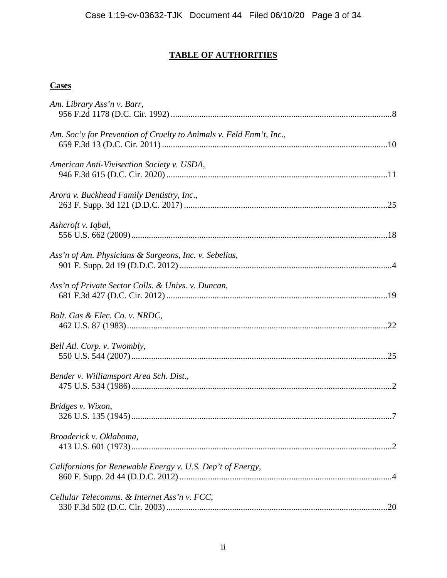# **TABLE OF AUTHORITIES**

## **Cases**

| Am. Library Ass'n v. Barr,                                          |  |
|---------------------------------------------------------------------|--|
| Am. Soc'y for Prevention of Cruelty to Animals v. Feld Enm't, Inc., |  |
| American Anti-Vivisection Society v. USDA,                          |  |
| Arora v. Buckhead Family Dentistry, Inc.,                           |  |
| Ashcroft v. Iqbal,                                                  |  |
| Ass'n of Am. Physicians & Surgeons, Inc. v. Sebelius,               |  |
| Ass'n of Private Sector Colls. & Univs. v. Duncan,                  |  |
| Balt. Gas & Elec. Co. v. NRDC,                                      |  |
| Bell Atl. Corp. v. Twombly,                                         |  |
| Bender v. Williamsport Area Sch. Dist.,                             |  |
| Bridges v. Wixon,                                                   |  |
| Broaderick v. Oklahoma,                                             |  |
| Californians for Renewable Energy v. U.S. Dep't of Energy,          |  |
| Cellular Telecomms. & Internet Ass'n v. FCC,                        |  |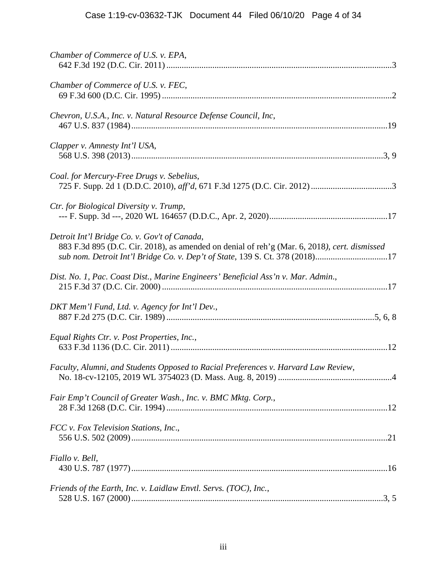| Chamber of Commerce of U.S. v. EPA,                                                                                                                                                                                          |
|------------------------------------------------------------------------------------------------------------------------------------------------------------------------------------------------------------------------------|
| Chamber of Commerce of U.S. v. FEC,                                                                                                                                                                                          |
| Chevron, U.S.A., Inc. v. Natural Resource Defense Council, Inc.                                                                                                                                                              |
| Clapper v. Amnesty Int'l USA,                                                                                                                                                                                                |
| Coal. for Mercury-Free Drugs v. Sebelius,                                                                                                                                                                                    |
| Ctr. for Biological Diversity v. Trump,                                                                                                                                                                                      |
| Detroit Int'l Bridge Co. v. Gov't of Canada,<br>883 F.3d 895 (D.C. Cir. 2018), as amended on denial of reh'g (Mar. 6, 2018), cert. dismissed<br>sub nom. Detroit Int'l Bridge Co. v. Dep't of State, 139 S. Ct. 378 (2018)17 |
| Dist. No. 1, Pac. Coast Dist., Marine Engineers' Beneficial Ass'n v. Mar. Admin.,                                                                                                                                            |
| DKT Mem'l Fund, Ltd. v. Agency for Int'l Dev.,                                                                                                                                                                               |
| Equal Rights Ctr. v. Post Properties, Inc.,                                                                                                                                                                                  |
| Faculty, Alumni, and Students Opposed to Racial Preferences v. Harvard Law Review,                                                                                                                                           |
| Fair Emp't Council of Greater Wash., Inc. v. BMC Mktg. Corp.,                                                                                                                                                                |
| FCC v. Fox Television Stations, Inc.,                                                                                                                                                                                        |
| Fiallo v. Bell,                                                                                                                                                                                                              |
| Friends of the Earth, Inc. v. Laidlaw Envtl. Servs. (TOC), Inc.,                                                                                                                                                             |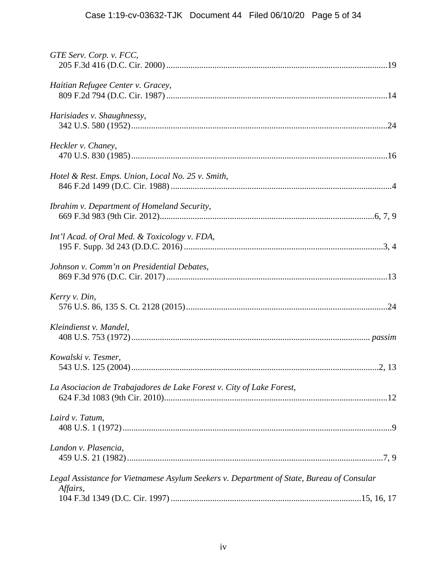| GTE Serv. Corp. v. FCC,                                                                               |
|-------------------------------------------------------------------------------------------------------|
| Haitian Refugee Center v. Gracey,                                                                     |
| Harisiades v. Shaughnessy,                                                                            |
| Heckler v. Chaney,                                                                                    |
| Hotel & Rest. Emps. Union, Local No. 25 v. Smith,                                                     |
| Ibrahim v. Department of Homeland Security,                                                           |
| Int'l Acad. of Oral Med. & Toxicology v. FDA,                                                         |
| Johnson v. Comm'n on Presidential Debates,                                                            |
| Kerry v. Din,                                                                                         |
| Kleindienst v. Mandel,                                                                                |
| Kowalski v. Tesmer,                                                                                   |
| La Asociacion de Trabajadores de Lake Forest v. City of Lake Forest,                                  |
| Laird v. Tatum,                                                                                       |
| Landon v. Plasencia,                                                                                  |
| Legal Assistance for Vietnamese Asylum Seekers v. Department of State, Bureau of Consular<br>Affairs, |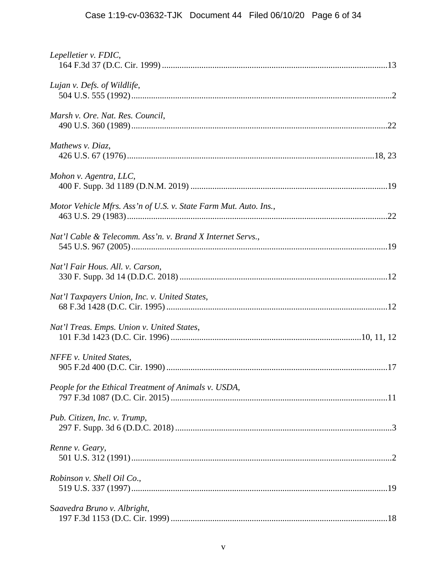| Lepelletier v. FDIC,                                             |  |
|------------------------------------------------------------------|--|
| Lujan v. Defs. of Wildlife,                                      |  |
| Marsh v. Ore. Nat. Res. Council,                                 |  |
| Mathews v. Diaz,                                                 |  |
| Mohon v. Agentra, LLC,                                           |  |
| Motor Vehicle Mfrs. Ass'n of U.S. v. State Farm Mut. Auto. Ins., |  |
| Nat'l Cable & Telecomm. Ass'n. v. Brand X Internet Servs.,       |  |
| Nat'l Fair Hous. All. v. Carson,                                 |  |
| Nat'l Taxpayers Union, Inc. v. United States,                    |  |
| Nat'l Treas. Emps. Union v. United States,                       |  |
| NFFE v. United States,                                           |  |
| People for the Ethical Treatment of Animals v. USDA,             |  |
| Pub. Citizen, Inc. v. Trump,                                     |  |
| Renne v. Geary,                                                  |  |
| Robinson v. Shell Oil Co.,                                       |  |
| Saavedra Bruno v. Albright,                                      |  |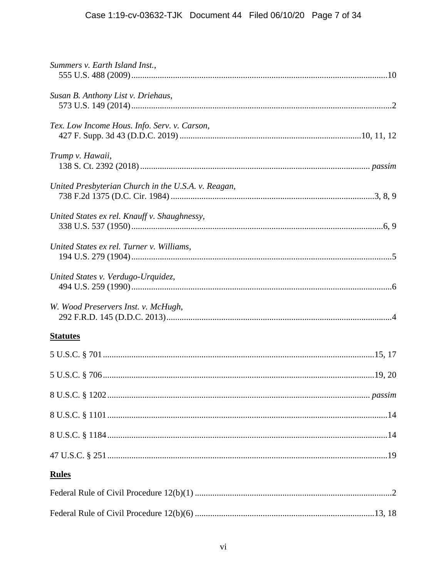| Summers v. Earth Island Inst.,                      |
|-----------------------------------------------------|
| Susan B. Anthony List v. Driehaus,                  |
| Tex. Low Income Hous. Info. Serv. v. Carson,        |
| Trump v. Hawaii,                                    |
| United Presbyterian Church in the U.S.A. v. Reagan, |
| United States ex rel. Knauff v. Shaughnessy,        |
| United States ex rel. Turner v. Williams,           |
| United States v. Verdugo-Urquidez,                  |
| W. Wood Preservers Inst. v. McHugh,                 |
| <b>Statutes</b>                                     |
|                                                     |
|                                                     |
|                                                     |
|                                                     |
|                                                     |
|                                                     |
| <b>Rules</b>                                        |
|                                                     |
|                                                     |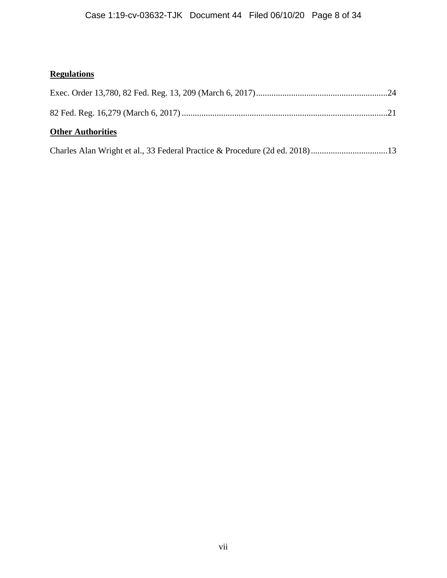# **Regulations**

| <b>Other Authorities</b> |  |
|--------------------------|--|
|                          |  |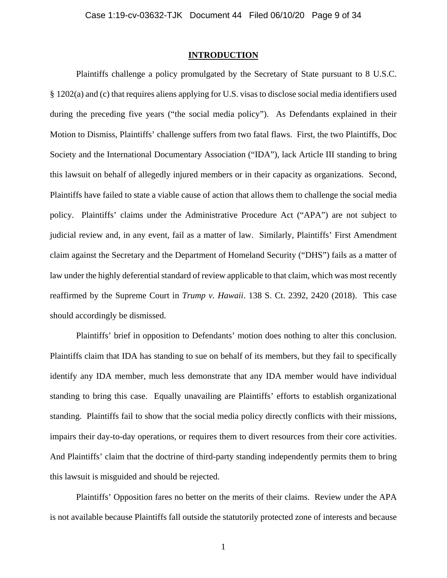### **INTRODUCTION**

Plaintiffs challenge a policy promulgated by the Secretary of State pursuant to 8 U.S.C. § 1202(a) and (c) that requires aliens applying for U.S. visas to disclose social media identifiers used during the preceding five years ("the social media policy"). As Defendants explained in their Motion to Dismiss, Plaintiffs' challenge suffers from two fatal flaws. First, the two Plaintiffs, Doc Society and the International Documentary Association ("IDA"), lack Article III standing to bring this lawsuit on behalf of allegedly injured members or in their capacity as organizations. Second, Plaintiffs have failed to state a viable cause of action that allows them to challenge the social media policy. Plaintiffs' claims under the Administrative Procedure Act ("APA") are not subject to judicial review and, in any event, fail as a matter of law. Similarly, Plaintiffs' First Amendment claim against the Secretary and the Department of Homeland Security ("DHS") fails as a matter of law under the highly deferential standard of review applicable to that claim, which was most recently reaffirmed by the Supreme Court in *Trump v. Hawaii*. 138 S. Ct. 2392, 2420 (2018). This case should accordingly be dismissed.

Plaintiffs' brief in opposition to Defendants' motion does nothing to alter this conclusion. Plaintiffs claim that IDA has standing to sue on behalf of its members, but they fail to specifically identify any IDA member, much less demonstrate that any IDA member would have individual standing to bring this case. Equally unavailing are Plaintiffs' efforts to establish organizational standing. Plaintiffs fail to show that the social media policy directly conflicts with their missions, impairs their day-to-day operations, or requires them to divert resources from their core activities. And Plaintiffs' claim that the doctrine of third-party standing independently permits them to bring this lawsuit is misguided and should be rejected.

 Plaintiffs' Opposition fares no better on the merits of their claims. Review under the APA is not available because Plaintiffs fall outside the statutorily protected zone of interests and because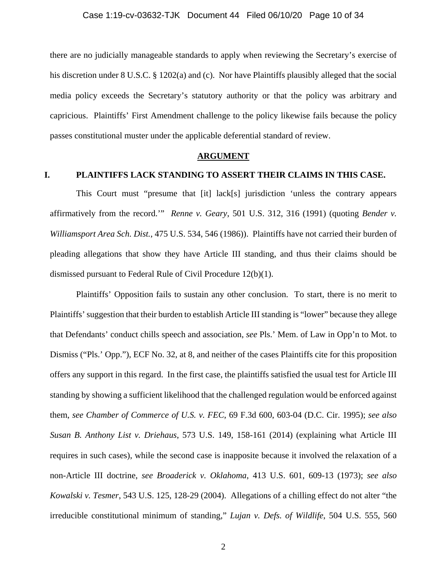there are no judicially manageable standards to apply when reviewing the Secretary's exercise of his discretion under 8 U.S.C. § 1202(a) and (c). Nor have Plaintiffs plausibly alleged that the social media policy exceeds the Secretary's statutory authority or that the policy was arbitrary and capricious. Plaintiffs' First Amendment challenge to the policy likewise fails because the policy passes constitutional muster under the applicable deferential standard of review.

#### **ARGUMENT**

### **I. PLAINTIFFS LACK STANDING TO ASSERT THEIR CLAIMS IN THIS CASE.**

This Court must "presume that [it] lack[s] jurisdiction 'unless the contrary appears affirmatively from the record.'" *Renne v. Geary*, 501 U.S. 312, 316 (1991) (quoting *Bender v. Williamsport Area Sch. Dist.*, 475 U.S. 534, 546 (1986)). Plaintiffs have not carried their burden of pleading allegations that show they have Article III standing, and thus their claims should be dismissed pursuant to Federal Rule of Civil Procedure 12(b)(1).

Plaintiffs' Opposition fails to sustain any other conclusion. To start, there is no merit to Plaintiffs' suggestion that their burden to establish Article III standing is "lower" because they allege that Defendants' conduct chills speech and association, *see* Pls.' Mem. of Law in Opp'n to Mot. to Dismiss ("Pls.' Opp."), ECF No. 32, at 8, and neither of the cases Plaintiffs cite for this proposition offers any support in this regard. In the first case, the plaintiffs satisfied the usual test for Article III standing by showing a sufficient likelihood that the challenged regulation would be enforced against them, *see Chamber of Commerce of U.S. v. FEC*, 69 F.3d 600, 603-04 (D.C. Cir. 1995); *see also Susan B. Anthony List v. Driehaus*, 573 U.S. 149, 158-161 (2014) (explaining what Article III requires in such cases), while the second case is inapposite because it involved the relaxation of a non-Article III doctrine, *see Broaderick v. Oklahoma*, 413 U.S. 601, 609-13 (1973); *see also Kowalski v. Tesmer*, 543 U.S. 125, 128-29 (2004). Allegations of a chilling effect do not alter "the irreducible constitutional minimum of standing," *Lujan v. Defs. of Wildlife*, 504 U.S. 555, 560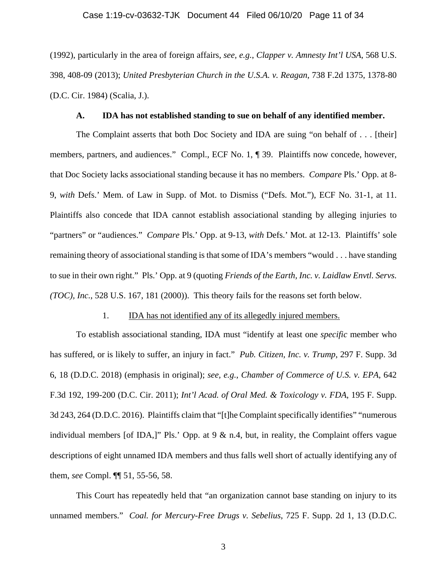### Case 1:19-cv-03632-TJK Document 44 Filed 06/10/20 Page 11 of 34

(1992), particularly in the area of foreign affairs, *see, e.g.*, *Clapper v. Amnesty Int'l USA*, 568 U.S. 398, 408-09 (2013); *United Presbyterian Church in the U.S.A. v. Reagan*, 738 F.2d 1375, 1378-80 (D.C. Cir. 1984) (Scalia, J.).

### **A. IDA has not established standing to sue on behalf of any identified member.**

The Complaint asserts that both Doc Society and IDA are suing "on behalf of . . . [their] members, partners, and audiences." Compl., ECF No. 1, ¶ 39. Plaintiffs now concede, however, that Doc Society lacks associational standing because it has no members. *Compare* Pls.' Opp. at 8- 9, *with* Defs.' Mem. of Law in Supp. of Mot. to Dismiss ("Defs. Mot."), ECF No. 31-1, at 11. Plaintiffs also concede that IDA cannot establish associational standing by alleging injuries to "partners" or "audiences." *Compare* Pls.' Opp. at 9-13, *with* Defs.' Mot. at 12-13. Plaintiffs' sole remaining theory of associational standing is that some of IDA's members "would . . . have standing to sue in their own right." Pls.' Opp. at 9 (quoting *Friends of the Earth, Inc. v. Laidlaw Envtl. Servs. (TOC), Inc.*, 528 U.S. 167, 181 (2000)). This theory fails for the reasons set forth below.

### 1. IDA has not identified any of its allegedly injured members.

To establish associational standing, IDA must "identify at least one *specific* member who has suffered, or is likely to suffer, an injury in fact." *Pub. Citizen, Inc. v. Trump*, 297 F. Supp. 3d 6, 18 (D.D.C. 2018) (emphasis in original); *see, e.g.*, *Chamber of Commerce of U.S. v. EPA*, 642 F.3d 192, 199-200 (D.C. Cir. 2011); *Int'l Acad. of Oral Med. & Toxicology v. FDA*, 195 F. Supp. 3d 243, 264 (D.D.C. 2016). Plaintiffs claim that "[t]he Complaint specifically identifies" "numerous individual members [of IDA,]" Pls.' Opp. at 9 & n.4, but, in reality, the Complaint offers vague descriptions of eight unnamed IDA members and thus falls well short of actually identifying any of them, *see* Compl. ¶¶ 51, 55-56, 58.

This Court has repeatedly held that "an organization cannot base standing on injury to its unnamed members." *Coal. for Mercury-Free Drugs v. Sebelius*, 725 F. Supp. 2d 1, 13 (D.D.C.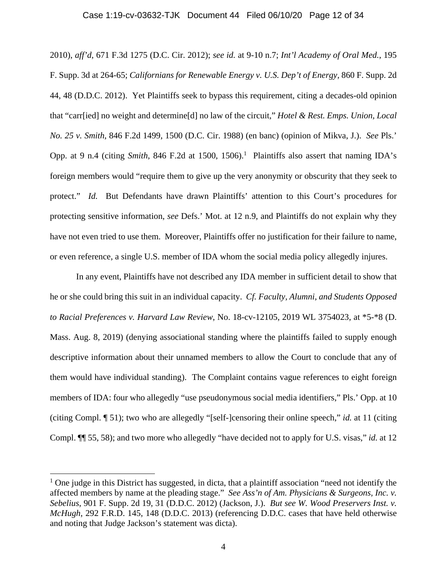### Case 1:19-cv-03632-TJK Document 44 Filed 06/10/20 Page 12 of 34

2010), *aff'd*, 671 F.3d 1275 (D.C. Cir. 2012); *see id.* at 9-10 n.7; *Int'l Academy of Oral Med.*, 195 F. Supp. 3d at 264-65; *Californians for Renewable Energy v. U.S. Dep't of Energy,* 860 F. Supp. 2d 44, 48 (D.D.C. 2012). Yet Plaintiffs seek to bypass this requirement, citing a decades-old opinion that "carr[ied] no weight and determine[d] no law of the circuit," *Hotel & Rest. Emps. Union, Local No. 25 v. Smith*, 846 F.2d 1499, 1500 (D.C. Cir. 1988) (en banc) (opinion of Mikva, J.). *See* Pls.' Opp. at 9 n.4 (citing *Smith*, 846 F.2d at 1500, 1506).<sup>1</sup> Plaintiffs also assert that naming IDA's foreign members would "require them to give up the very anonymity or obscurity that they seek to protect." *Id.* But Defendants have drawn Plaintiffs' attention to this Court's procedures for protecting sensitive information, *see* Defs.' Mot. at 12 n.9, and Plaintiffs do not explain why they have not even tried to use them. Moreover, Plaintiffs offer no justification for their failure to name, or even reference, a single U.S. member of IDA whom the social media policy allegedly injures.

In any event, Plaintiffs have not described any IDA member in sufficient detail to show that he or she could bring this suit in an individual capacity. *Cf. Faculty, Alumni, and Students Opposed to Racial Preferences v. Harvard Law Review*, No. 18-cv-12105, 2019 WL 3754023, at \*5-\*8 (D. Mass. Aug. 8, 2019) (denying associational standing where the plaintiffs failed to supply enough descriptive information about their unnamed members to allow the Court to conclude that any of them would have individual standing). The Complaint contains vague references to eight foreign members of IDA: four who allegedly "use pseudonymous social media identifiers," Pls.' Opp. at 10 (citing Compl. ¶ 51); two who are allegedly "[self-]censoring their online speech," *id.* at 11 (citing Compl. ¶¶ 55, 58); and two more who allegedly "have decided not to apply for U.S. visas," *id.* at 12

<sup>&</sup>lt;sup>1</sup> One judge in this District has suggested, in dicta, that a plaintiff association "need not identify the affected members by name at the pleading stage." *See Ass'n of Am. Physicians & Surgeons, Inc. v. Sebelius*, 901 F. Supp. 2d 19, 31 (D.D.C. 2012) (Jackson, J.). *But see W. Wood Preservers Inst. v. McHugh*, 292 F.R.D. 145, 148 (D.D.C. 2013) (referencing D.D.C. cases that have held otherwise and noting that Judge Jackson's statement was dicta).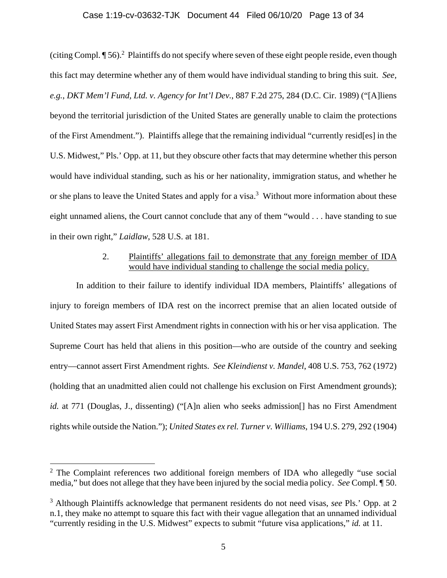### Case 1:19-cv-03632-TJK Document 44 Filed 06/10/20 Page 13 of 34

(citing Compl. ¶ 56).<sup>2</sup> Plaintiffs do not specify where seven of these eight people reside, even though this fact may determine whether any of them would have individual standing to bring this suit. *See, e.g.*, *DKT Mem'l Fund, Ltd. v. Agency for Int'l Dev.*, 887 F.2d 275, 284 (D.C. Cir. 1989) ("[A]liens beyond the territorial jurisdiction of the United States are generally unable to claim the protections of the First Amendment."). Plaintiffs allege that the remaining individual "currently resid[es] in the U.S. Midwest," Pls.' Opp. at 11, but they obscure other facts that may determine whether this person would have individual standing, such as his or her nationality, immigration status, and whether he or she plans to leave the United States and apply for a visa.<sup>3</sup> Without more information about these eight unnamed aliens, the Court cannot conclude that any of them "would . . . have standing to sue in their own right," *Laidlaw*, 528 U.S. at 181.

### 2. Plaintiffs' allegations fail to demonstrate that any foreign member of IDA would have individual standing to challenge the social media policy.

In addition to their failure to identify individual IDA members, Plaintiffs' allegations of injury to foreign members of IDA rest on the incorrect premise that an alien located outside of United States may assert First Amendment rights in connection with his or her visa application. The Supreme Court has held that aliens in this position—who are outside of the country and seeking entry—cannot assert First Amendment rights. *See Kleindienst v. Mandel*, 408 U.S. 753, 762 (1972) (holding that an unadmitted alien could not challenge his exclusion on First Amendment grounds); *id.* at 771 (Douglas, J., dissenting) ("[A]n alien who seeks admission<sup>[]</sup> has no First Amendment rights while outside the Nation."); *United States ex rel. Turner v. Williams*, 194 U.S. 279, 292 (1904)

<sup>&</sup>lt;sup>2</sup> The Complaint references two additional foreign members of IDA who allegedly "use social media," but does not allege that they have been injured by the social media policy. *See* Compl. ¶ 50.

<sup>3</sup> Although Plaintiffs acknowledge that permanent residents do not need visas, *see* Pls.' Opp. at 2 n.1, they make no attempt to square this fact with their vague allegation that an unnamed individual "currently residing in the U.S. Midwest" expects to submit "future visa applications," *id.* at 11.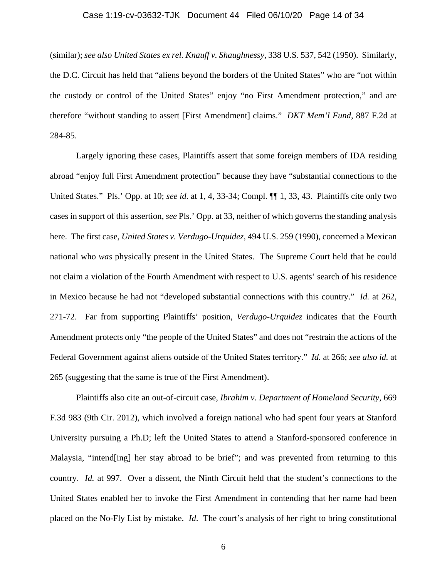### Case 1:19-cv-03632-TJK Document 44 Filed 06/10/20 Page 14 of 34

(similar); *see also United States ex rel. Knauff v. Shaughnessy*, 338 U.S. 537, 542 (1950). Similarly, the D.C. Circuit has held that "aliens beyond the borders of the United States" who are "not within the custody or control of the United States" enjoy "no First Amendment protection," and are therefore "without standing to assert [First Amendment] claims." *DKT Mem'l Fund*, 887 F.2d at 284-85.

Largely ignoring these cases, Plaintiffs assert that some foreign members of IDA residing abroad "enjoy full First Amendment protection" because they have "substantial connections to the United States." Pls.' Opp. at 10; *see id.* at 1, 4, 33-34; Compl. ¶¶ 1, 33, 43. Plaintiffs cite only two cases in support of this assertion, *see* Pls.' Opp. at 33, neither of which governs the standing analysis here. The first case, *United States v. Verdugo-Urquidez*, 494 U.S. 259 (1990), concerned a Mexican national who *was* physically present in the United States. The Supreme Court held that he could not claim a violation of the Fourth Amendment with respect to U.S. agents' search of his residence in Mexico because he had not "developed substantial connections with this country." *Id.* at 262, 271-72. Far from supporting Plaintiffs' position, *Verdugo-Urquidez* indicates that the Fourth Amendment protects only "the people of the United States" and does not "restrain the actions of the Federal Government against aliens outside of the United States territory." *Id.* at 266; *see also id.* at 265 (suggesting that the same is true of the First Amendment).

Plaintiffs also cite an out-of-circuit case, *Ibrahim v. Department of Homeland Security*, 669 F.3d 983 (9th Cir. 2012), which involved a foreign national who had spent four years at Stanford University pursuing a Ph.D; left the United States to attend a Stanford-sponsored conference in Malaysia, "intend[ing] her stay abroad to be brief"; and was prevented from returning to this country. *Id.* at 997. Over a dissent, the Ninth Circuit held that the student's connections to the United States enabled her to invoke the First Amendment in contending that her name had been placed on the No-Fly List by mistake. *Id*. The court's analysis of her right to bring constitutional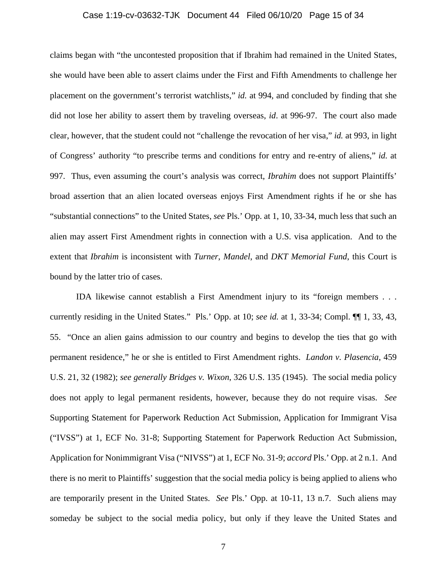#### Case 1:19-cv-03632-TJK Document 44 Filed 06/10/20 Page 15 of 34

claims began with "the uncontested proposition that if Ibrahim had remained in the United States, she would have been able to assert claims under the First and Fifth Amendments to challenge her placement on the government's terrorist watchlists," *id.* at 994, and concluded by finding that she did not lose her ability to assert them by traveling overseas, *id*. at 996-97. The court also made clear, however, that the student could not "challenge the revocation of her visa," *id.* at 993, in light of Congress' authority "to prescribe terms and conditions for entry and re-entry of aliens," *id.* at 997. Thus, even assuming the court's analysis was correct, *Ibrahim* does not support Plaintiffs' broad assertion that an alien located overseas enjoys First Amendment rights if he or she has "substantial connections" to the United States, *see* Pls.' Opp. at 1, 10, 33-34, much less that such an alien may assert First Amendment rights in connection with a U.S. visa application. And to the extent that *Ibrahim* is inconsistent with *Turner*, *Mandel*, and *DKT Memorial Fund*, this Court is bound by the latter trio of cases.

IDA likewise cannot establish a First Amendment injury to its "foreign members . . . currently residing in the United States." Pls.' Opp. at 10; *see id.* at 1, 33-34; Compl. ¶¶ 1, 33, 43, 55. "Once an alien gains admission to our country and begins to develop the ties that go with permanent residence," he or she is entitled to First Amendment rights. *Landon v. Plasencia*, 459 U.S. 21, 32 (1982); *see generally Bridges v. Wixon*, 326 U.S. 135 (1945). The social media policy does not apply to legal permanent residents, however, because they do not require visas. *See*  Supporting Statement for Paperwork Reduction Act Submission, Application for Immigrant Visa ("IVSS") at 1, ECF No. 31-8; Supporting Statement for Paperwork Reduction Act Submission, Application for Nonimmigrant Visa ("NIVSS") at 1, ECF No. 31-9; *accord* Pls.' Opp. at 2 n.1. And there is no merit to Plaintiffs' suggestion that the social media policy is being applied to aliens who are temporarily present in the United States. *See* Pls.' Opp. at 10-11, 13 n.7. Such aliens may someday be subject to the social media policy, but only if they leave the United States and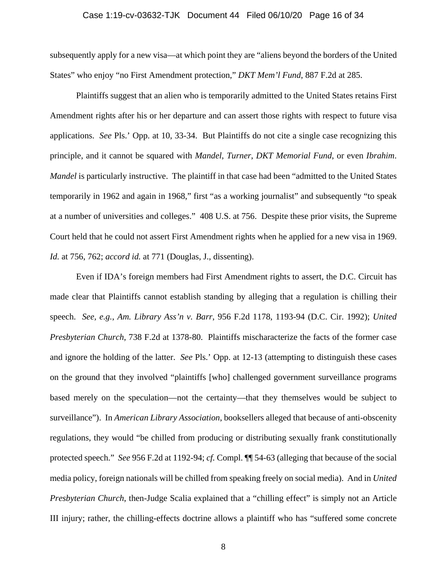#### Case 1:19-cv-03632-TJK Document 44 Filed 06/10/20 Page 16 of 34

subsequently apply for a new visa—at which point they are "aliens beyond the borders of the United States" who enjoy "no First Amendment protection," *DKT Mem'l Fund*, 887 F.2d at 285.

Plaintiffs suggest that an alien who is temporarily admitted to the United States retains First Amendment rights after his or her departure and can assert those rights with respect to future visa applications. *See* Pls.' Opp. at 10, 33-34. But Plaintiffs do not cite a single case recognizing this principle, and it cannot be squared with *Mandel*, *Turner*, *DKT Memorial Fund*, or even *Ibrahim*. *Mandel* is particularly instructive. The plaintiff in that case had been "admitted to the United States" temporarily in 1962 and again in 1968," first "as a working journalist" and subsequently "to speak at a number of universities and colleges." 408 U.S. at 756. Despite these prior visits, the Supreme Court held that he could not assert First Amendment rights when he applied for a new visa in 1969. *Id.* at 756, 762; *accord id.* at 771 (Douglas, J., dissenting).

Even if IDA's foreign members had First Amendment rights to assert, the D.C. Circuit has made clear that Plaintiffs cannot establish standing by alleging that a regulation is chilling their speech. *See, e.g.*, *Am. Library Ass'n v. Barr*, 956 F.2d 1178, 1193-94 (D.C. Cir. 1992); *United Presbyterian Church*, 738 F.2d at 1378-80. Plaintiffs mischaracterize the facts of the former case and ignore the holding of the latter. *See* Pls.' Opp. at 12-13 (attempting to distinguish these cases on the ground that they involved "plaintiffs [who] challenged government surveillance programs based merely on the speculation—not the certainty—that they themselves would be subject to surveillance"). In *American Library Association*, booksellers alleged that because of anti-obscenity regulations, they would "be chilled from producing or distributing sexually frank constitutionally protected speech." *See* 956 F.2d at 1192-94; *cf.* Compl. ¶¶ 54-63 (alleging that because of the social media policy, foreign nationals will be chilled from speaking freely on social media). And in *United Presbyterian Church*, then-Judge Scalia explained that a "chilling effect" is simply not an Article III injury; rather, the chilling-effects doctrine allows a plaintiff who has "suffered some concrete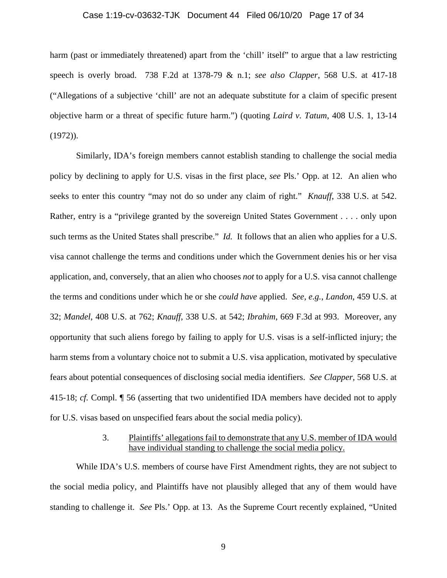### Case 1:19-cv-03632-TJK Document 44 Filed 06/10/20 Page 17 of 34

harm (past or immediately threatened) apart from the 'chill' itself' to argue that a law restricting speech is overly broad. 738 F.2d at 1378-79 & n.1; *see also Clapper*, 568 U.S. at 417-18 ("Allegations of a subjective 'chill' are not an adequate substitute for a claim of specific present objective harm or a threat of specific future harm.") (quoting *Laird v. Tatum*, 408 U.S. 1, 13-14 (1972)).

Similarly, IDA's foreign members cannot establish standing to challenge the social media policy by declining to apply for U.S. visas in the first place, *see* Pls.' Opp. at 12. An alien who seeks to enter this country "may not do so under any claim of right." *Knauff*, 338 U.S. at 542. Rather, entry is a "privilege granted by the sovereign United States Government . . . . only upon such terms as the United States shall prescribe." *Id.* It follows that an alien who applies for a U.S. visa cannot challenge the terms and conditions under which the Government denies his or her visa application, and, conversely, that an alien who chooses *not* to apply for a U.S. visa cannot challenge the terms and conditions under which he or she *could have* applied. *See, e.g.*, *Landon*, 459 U.S. at 32; *Mandel*, 408 U.S. at 762; *Knauff*, 338 U.S. at 542; *Ibrahim*, 669 F.3d at 993. Moreover, any opportunity that such aliens forego by failing to apply for U.S. visas is a self-inflicted injury; the harm stems from a voluntary choice not to submit a U.S. visa application, motivated by speculative fears about potential consequences of disclosing social media identifiers. *See Clapper*, 568 U.S. at 415-18; *cf.* Compl. ¶ 56 (asserting that two unidentified IDA members have decided not to apply for U.S. visas based on unspecified fears about the social media policy).

### 3. Plaintiffs' allegations fail to demonstrate that any U.S. member of IDA would have individual standing to challenge the social media policy.

While IDA's U.S. members of course have First Amendment rights, they are not subject to the social media policy, and Plaintiffs have not plausibly alleged that any of them would have standing to challenge it. *See* Pls.' Opp. at 13. As the Supreme Court recently explained, "United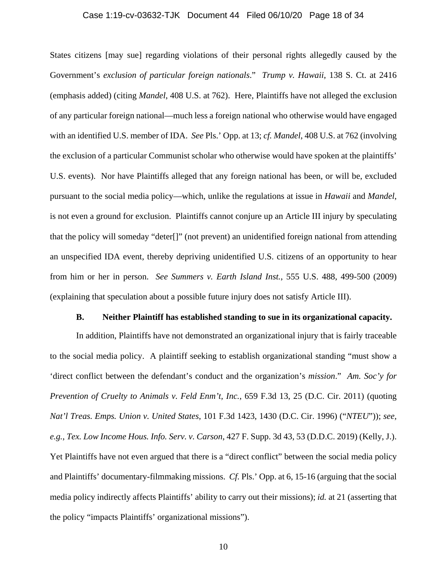### Case 1:19-cv-03632-TJK Document 44 Filed 06/10/20 Page 18 of 34

States citizens [may sue] regarding violations of their personal rights allegedly caused by the Government's *exclusion of particular foreign nationals*." *Trump v. Hawaii*, 138 S. Ct. at 2416 (emphasis added) (citing *Mandel*, 408 U.S. at 762). Here, Plaintiffs have not alleged the exclusion of any particular foreign national—much less a foreign national who otherwise would have engaged with an identified U.S. member of IDA. *See* Pls.' Opp. at 13; *cf. Mandel*, 408 U.S. at 762 (involving the exclusion of a particular Communist scholar who otherwise would have spoken at the plaintiffs' U.S. events). Nor have Plaintiffs alleged that any foreign national has been, or will be, excluded pursuant to the social media policy—which, unlike the regulations at issue in *Hawaii* and *Mandel*, is not even a ground for exclusion. Plaintiffs cannot conjure up an Article III injury by speculating that the policy will someday "deter[]" (not prevent) an unidentified foreign national from attending an unspecified IDA event, thereby depriving unidentified U.S. citizens of an opportunity to hear from him or her in person. *See Summers v. Earth Island Inst.*, 555 U.S. 488, 499-500 (2009) (explaining that speculation about a possible future injury does not satisfy Article III).

### **B. Neither Plaintiff has established standing to sue in its organizational capacity.**

In addition, Plaintiffs have not demonstrated an organizational injury that is fairly traceable to the social media policy. A plaintiff seeking to establish organizational standing "must show a 'direct conflict between the defendant's conduct and the organization's *mission*." *Am. Soc'y for Prevention of Cruelty to Animals v. Feld Enm't, Inc.*, 659 F.3d 13, 25 (D.C. Cir. 2011) (quoting *Nat'l Treas. Emps. Union v. United States*, 101 F.3d 1423, 1430 (D.C. Cir. 1996) ("*NTEU*")); *see, e.g.*, *Tex. Low Income Hous. Info. Serv. v. Carson*, 427 F. Supp. 3d 43, 53 (D.D.C. 2019) (Kelly, J.). Yet Plaintiffs have not even argued that there is a "direct conflict" between the social media policy and Plaintiffs' documentary-filmmaking missions. *Cf.* Pls.' Opp. at 6, 15-16 (arguing that the social media policy indirectly affects Plaintiffs' ability to carry out their missions); *id.* at 21 (asserting that the policy "impacts Plaintiffs' organizational missions").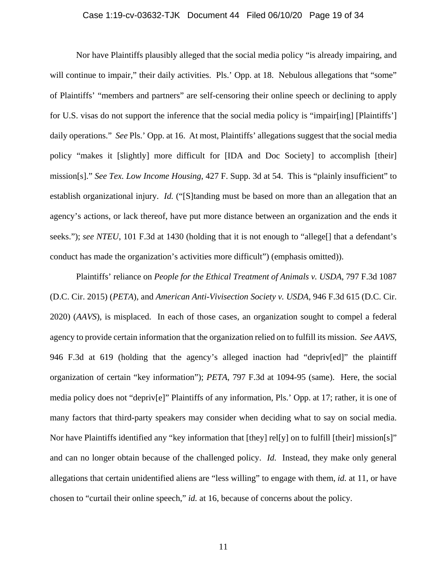### Case 1:19-cv-03632-TJK Document 44 Filed 06/10/20 Page 19 of 34

Nor have Plaintiffs plausibly alleged that the social media policy "is already impairing, and will continue to impair," their daily activities. Pls.' Opp. at 18. Nebulous allegations that "some" of Plaintiffs' "members and partners" are self-censoring their online speech or declining to apply for U.S. visas do not support the inference that the social media policy is "impair[ing] [Plaintiffs'] daily operations." *See* Pls.' Opp. at 16. At most, Plaintiffs' allegations suggest that the social media policy "makes it [slightly] more difficult for [IDA and Doc Society] to accomplish [their] mission[s]." *See Tex. Low Income Housing*, 427 F. Supp. 3d at 54. This is "plainly insufficient" to establish organizational injury. *Id.* ("[S]tanding must be based on more than an allegation that an agency's actions, or lack thereof, have put more distance between an organization and the ends it seeks."); *see NTEU*, 101 F.3d at 1430 (holding that it is not enough to "allege[] that a defendant's conduct has made the organization's activities more difficult") (emphasis omitted)).

Plaintiffs' reliance on *People for the Ethical Treatment of Animals v. USDA*, 797 F.3d 1087 (D.C. Cir. 2015) (*PETA*), and *American Anti-Vivisection Society v. USDA*, 946 F.3d 615 (D.C. Cir. 2020) (*AAVS*), is misplaced. In each of those cases, an organization sought to compel a federal agency to provide certain information that the organization relied on to fulfill its mission. *See AAVS*, 946 F.3d at 619 (holding that the agency's alleged inaction had "depriv[ed]" the plaintiff organization of certain "key information"); *PETA*, 797 F.3d at 1094-95 (same). Here, the social media policy does not "depriv[e]" Plaintiffs of any information, Pls.' Opp. at 17; rather, it is one of many factors that third-party speakers may consider when deciding what to say on social media. Nor have Plaintiffs identified any "key information that [they] rel[y] on to fulfill [their] mission[s]" and can no longer obtain because of the challenged policy. *Id.* Instead, they make only general allegations that certain unidentified aliens are "less willing" to engage with them, *id.* at 11, or have chosen to "curtail their online speech," *id.* at 16, because of concerns about the policy.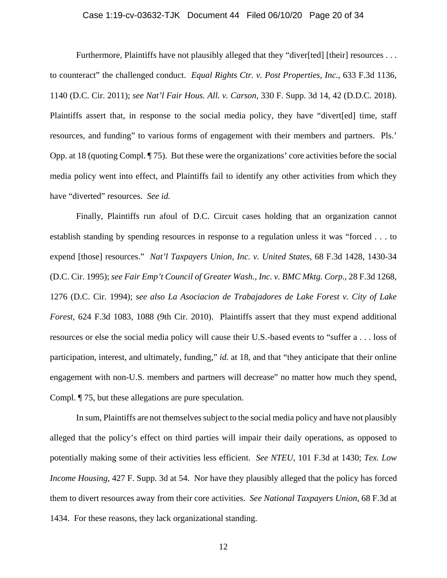### Case 1:19-cv-03632-TJK Document 44 Filed 06/10/20 Page 20 of 34

Furthermore, Plaintiffs have not plausibly alleged that they "diver[ted] [their] resources . . . to counteract" the challenged conduct. *Equal Rights Ctr. v. Post Properties, Inc.*, 633 F.3d 1136, 1140 (D.C. Cir. 2011); *see Nat'l Fair Hous. All. v. Carson*, 330 F. Supp. 3d 14, 42 (D.D.C. 2018). Plaintiffs assert that, in response to the social media policy, they have "divert[ed] time, staff resources, and funding" to various forms of engagement with their members and partners. Pls.' Opp. at 18 (quoting Compl. ¶ 75). But these were the organizations' core activities before the social media policy went into effect, and Plaintiffs fail to identify any other activities from which they have "diverted" resources. *See id.*

Finally, Plaintiffs run afoul of D.C. Circuit cases holding that an organization cannot establish standing by spending resources in response to a regulation unless it was "forced . . . to expend [those] resources." *Nat'l Taxpayers Union, Inc. v. United States*, 68 F.3d 1428, 1430-34 (D.C. Cir. 1995); *see Fair Emp't Council of Greater Wash., Inc. v. BMC Mktg. Corp.*, 28 F.3d 1268, 1276 (D.C. Cir. 1994); *see also La Asociacion de Trabajadores de Lake Forest v. City of Lake Forest*, 624 F.3d 1083, 1088 (9th Cir. 2010). Plaintiffs assert that they must expend additional resources or else the social media policy will cause their U.S.-based events to "suffer a . . . loss of participation, interest, and ultimately, funding," *id.* at 18, and that "they anticipate that their online engagement with non-U.S. members and partners will decrease" no matter how much they spend, Compl. ¶ 75, but these allegations are pure speculation.

In sum, Plaintiffs are not themselves subject to the social media policy and have not plausibly alleged that the policy's effect on third parties will impair their daily operations, as opposed to potentially making some of their activities less efficient. *See NTEU*, 101 F.3d at 1430; *Tex. Low Income Housing*, 427 F. Supp. 3d at 54. Nor have they plausibly alleged that the policy has forced them to divert resources away from their core activities. *See National Taxpayers Union*, 68 F.3d at 1434. For these reasons, they lack organizational standing.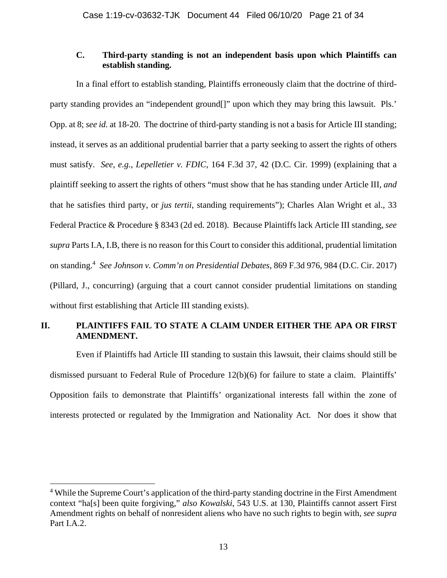### **C. Third-party standing is not an independent basis upon which Plaintiffs can establish standing.**

In a final effort to establish standing, Plaintiffs erroneously claim that the doctrine of thirdparty standing provides an "independent ground[]" upon which they may bring this lawsuit. Pls.' Opp. at 8; *see id.* at 18-20. The doctrine of third-party standing is not a basis for Article III standing; instead, it serves as an additional prudential barrier that a party seeking to assert the rights of others must satisfy. *See, e.g.*, *Lepelletier v. FDIC*, 164 F.3d 37, 42 (D.C. Cir. 1999) (explaining that a plaintiff seeking to assert the rights of others "must show that he has standing under Article III, *and* that he satisfies third party, or *jus tertii*, standing requirements"); Charles Alan Wright et al., 33 Federal Practice & Procedure § 8343 (2d ed. 2018). Because Plaintiffs lack Article III standing, *see supra* Parts I.A, I.B, there is no reason for this Court to consider this additional, prudential limitation on standing.4 *See Johnson v. Comm'n on Presidential Debates*, 869 F.3d 976, 984 (D.C. Cir. 2017) (Pillard, J., concurring) (arguing that a court cannot consider prudential limitations on standing without first establishing that Article III standing exists).

### **II. PLAINTIFFS FAIL TO STATE A CLAIM UNDER EITHER THE APA OR FIRST AMENDMENT.**

Even if Plaintiffs had Article III standing to sustain this lawsuit, their claims should still be dismissed pursuant to Federal Rule of Procedure 12(b)(6) for failure to state a claim. Plaintiffs' Opposition fails to demonstrate that Plaintiffs' organizational interests fall within the zone of interests protected or regulated by the Immigration and Nationality Act. Nor does it show that

<sup>&</sup>lt;sup>4</sup> While the Supreme Court's application of the third-party standing doctrine in the First Amendment context "ha[s] been quite forgiving," *also Kowalski*, 543 U.S. at 130, Plaintiffs cannot assert First Amendment rights on behalf of nonresident aliens who have no such rights to begin with, *see supra*  Part I.A.2.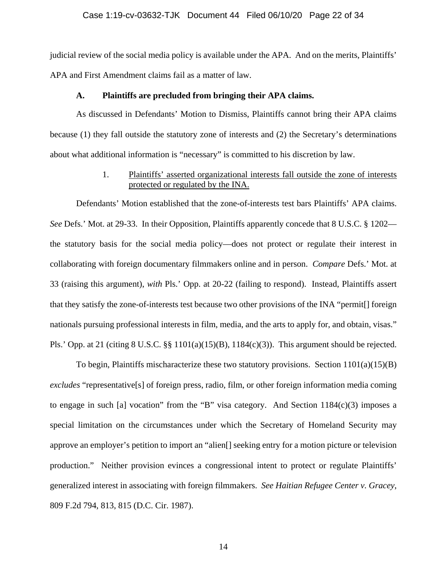### Case 1:19-cv-03632-TJK Document 44 Filed 06/10/20 Page 22 of 34

judicial review of the social media policy is available under the APA. And on the merits, Plaintiffs' APA and First Amendment claims fail as a matter of law.

### **A. Plaintiffs are precluded from bringing their APA claims.**

As discussed in Defendants' Motion to Dismiss, Plaintiffs cannot bring their APA claims because (1) they fall outside the statutory zone of interests and (2) the Secretary's determinations about what additional information is "necessary" is committed to his discretion by law.

### 1. Plaintiffs' asserted organizational interests fall outside the zone of interests protected or regulated by the INA.

Defendants' Motion established that the zone-of-interests test bars Plaintiffs' APA claims. *See* Defs.' Mot. at 29-33. In their Opposition, Plaintiffs apparently concede that 8 U.S.C. § 1202 the statutory basis for the social media policy—does not protect or regulate their interest in collaborating with foreign documentary filmmakers online and in person. *Compare* Defs.' Mot. at 33 (raising this argument), *with* Pls.' Opp. at 20-22 (failing to respond). Instead, Plaintiffs assert that they satisfy the zone-of-interests test because two other provisions of the INA "permit[] foreign nationals pursuing professional interests in film, media, and the arts to apply for, and obtain, visas." Pls.' Opp. at 21 (citing 8 U.S.C. §§ 1101(a)(15)(B), 1184(c)(3)). This argument should be rejected.

To begin, Plaintiffs mischaracterize these two statutory provisions. Section 1101(a)(15)(B) *excludes* "representative[s] of foreign press, radio, film, or other foreign information media coming to engage in such [a] vocation" from the "B" visa category. And Section 1184(c)(3) imposes a special limitation on the circumstances under which the Secretary of Homeland Security may approve an employer's petition to import an "alien[] seeking entry for a motion picture or television production." Neither provision evinces a congressional intent to protect or regulate Plaintiffs' generalized interest in associating with foreign filmmakers. *See Haitian Refugee Center v. Gracey*, 809 F.2d 794, 813, 815 (D.C. Cir. 1987).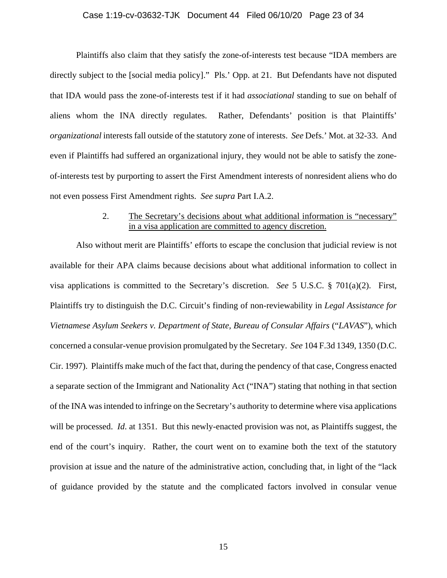### Case 1:19-cv-03632-TJK Document 44 Filed 06/10/20 Page 23 of 34

Plaintiffs also claim that they satisfy the zone-of-interests test because "IDA members are directly subject to the [social media policy]." Pls.' Opp. at 21. But Defendants have not disputed that IDA would pass the zone-of-interests test if it had *associational* standing to sue on behalf of aliens whom the INA directly regulates. Rather, Defendants' position is that Plaintiffs' *organizational* interests fall outside of the statutory zone of interests. *See* Defs.' Mot. at 32-33. And even if Plaintiffs had suffered an organizational injury, they would not be able to satisfy the zoneof-interests test by purporting to assert the First Amendment interests of nonresident aliens who do not even possess First Amendment rights. *See supra* Part I.A.2.

### 2. The Secretary's decisions about what additional information is "necessary" in a visa application are committed to agency discretion.

 Also without merit are Plaintiffs' efforts to escape the conclusion that judicial review is not available for their APA claims because decisions about what additional information to collect in visa applications is committed to the Secretary's discretion. *See* 5 U.S.C. § 701(a)(2). First, Plaintiffs try to distinguish the D.C. Circuit's finding of non-reviewability in *Legal Assistance for Vietnamese Asylum Seekers v. Department of State, Bureau of Consular Affairs* ("*LAVAS*"), which concerned a consular-venue provision promulgated by the Secretary. *See* 104 F.3d 1349, 1350 (D.C. Cir. 1997). Plaintiffs make much of the fact that, during the pendency of that case, Congress enacted a separate section of the Immigrant and Nationality Act ("INA") stating that nothing in that section of the INA was intended to infringe on the Secretary's authority to determine where visa applications will be processed. *Id*. at 1351. But this newly-enacted provision was not, as Plaintiffs suggest, the end of the court's inquiry. Rather, the court went on to examine both the text of the statutory provision at issue and the nature of the administrative action, concluding that, in light of the "lack of guidance provided by the statute and the complicated factors involved in consular venue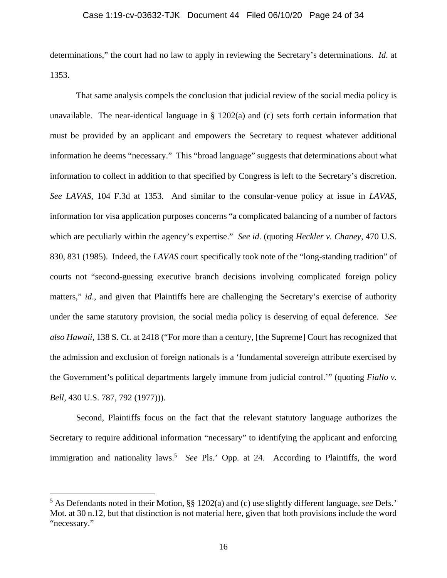### Case 1:19-cv-03632-TJK Document 44 Filed 06/10/20 Page 24 of 34

determinations," the court had no law to apply in reviewing the Secretary's determinations. *Id*. at 1353.

That same analysis compels the conclusion that judicial review of the social media policy is unavailable. The near-identical language in  $\S$  1202(a) and (c) sets forth certain information that must be provided by an applicant and empowers the Secretary to request whatever additional information he deems "necessary." This "broad language" suggests that determinations about what information to collect in addition to that specified by Congress is left to the Secretary's discretion. *See LAVAS*, 104 F.3d at 1353. And similar to the consular-venue policy at issue in *LAVAS*, information for visa application purposes concerns "a complicated balancing of a number of factors which are peculiarly within the agency's expertise." *See id*. (quoting *Heckler v. Chaney*, 470 U.S. 830, 831 (1985). Indeed, the *LAVAS* court specifically took note of the "long-standing tradition" of courts not "second-guessing executive branch decisions involving complicated foreign policy matters," *id.*, and given that Plaintiffs here are challenging the Secretary's exercise of authority under the same statutory provision, the social media policy is deserving of equal deference. *See also Hawaii*, 138 S. Ct. at 2418 ("For more than a century, [the Supreme] Court has recognized that the admission and exclusion of foreign nationals is a 'fundamental sovereign attribute exercised by the Government's political departments largely immune from judicial control.'" (quoting *Fiallo v. Bell,* 430 U.S. 787, 792 (1977))).

Second, Plaintiffs focus on the fact that the relevant statutory language authorizes the Secretary to require additional information "necessary" to identifying the applicant and enforcing immigration and nationality laws.<sup>5</sup> See Pls.' Opp. at 24. According to Plaintiffs, the word

<sup>5</sup> As Defendants noted in their Motion, §§ 1202(a) and (c) use slightly different language, *see* Defs.' Mot. at 30 n.12, but that distinction is not material here, given that both provisions include the word "necessary."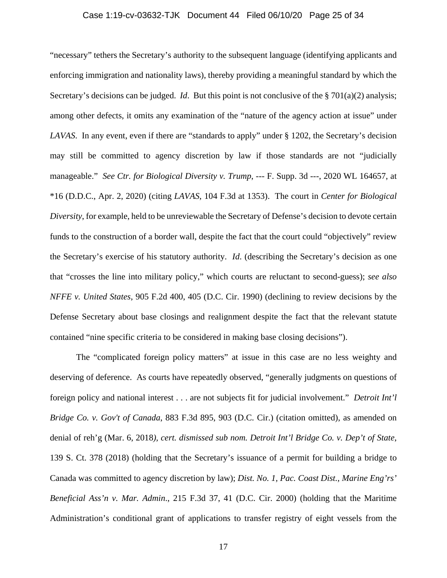### Case 1:19-cv-03632-TJK Document 44 Filed 06/10/20 Page 25 of 34

"necessary" tethers the Secretary's authority to the subsequent language (identifying applicants and enforcing immigration and nationality laws), thereby providing a meaningful standard by which the Secretary's decisions can be judged. *Id*. But this point is not conclusive of the § 701(a)(2) analysis; among other defects, it omits any examination of the "nature of the agency action at issue" under *LAVAS*. In any event, even if there are "standards to apply" under § 1202, the Secretary's decision may still be committed to agency discretion by law if those standards are not "judicially manageable." *See Ctr. for Biological Diversity v. Trump*, --- F. Supp. 3d ---, 2020 WL 164657, at \*16 (D.D.C., Apr. 2, 2020) (citing *LAVAS*, 104 F.3d at 1353). The court in *Center for Biological Diversity*, for example, held to be unreviewable the Secretary of Defense's decision to devote certain funds to the construction of a border wall, despite the fact that the court could "objectively" review the Secretary's exercise of his statutory authority. *Id*. (describing the Secretary's decision as one that "crosses the line into military policy," which courts are reluctant to second-guess); *see also NFFE v. United States*, 905 F.2d 400, 405 (D.C. Cir. 1990) (declining to review decisions by the Defense Secretary about base closings and realignment despite the fact that the relevant statute contained "nine specific criteria to be considered in making base closing decisions").

The "complicated foreign policy matters" at issue in this case are no less weighty and deserving of deference. As courts have repeatedly observed, "generally judgments on questions of foreign policy and national interest . . . are not subjects fit for judicial involvement." *Detroit Int'l Bridge Co. v. Gov't of Canada*, 883 F.3d 895, 903 (D.C. Cir.) (citation omitted), as amended on denial of reh'g (Mar. 6, 2018*), cert. dismissed sub nom. Detroit Int'l Bridge Co. v. Dep't of State*, 139 S. Ct. 378 (2018) (holding that the Secretary's issuance of a permit for building a bridge to Canada was committed to agency discretion by law); *Dist. No. 1, Pac. Coast Dist., Marine Eng'rs' Beneficial Ass'n v. Mar. Admin*., 215 F.3d 37, 41 (D.C. Cir. 2000) (holding that the Maritime Administration's conditional grant of applications to transfer registry of eight vessels from the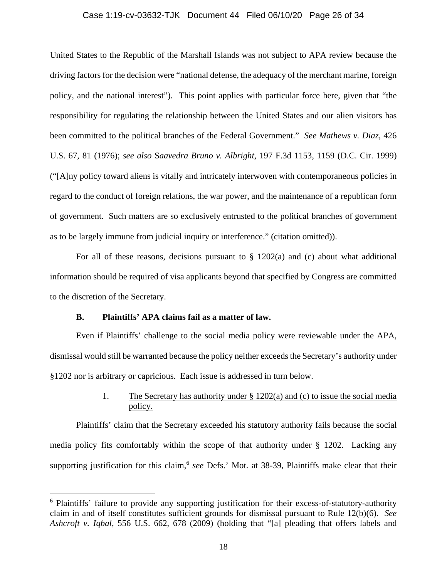### Case 1:19-cv-03632-TJK Document 44 Filed 06/10/20 Page 26 of 34

United States to the Republic of the Marshall Islands was not subject to APA review because the driving factors for the decision were "national defense, the adequacy of the merchant marine, foreign policy, and the national interest"). This point applies with particular force here, given that "the responsibility for regulating the relationship between the United States and our alien visitors has been committed to the political branches of the Federal Government." *See Mathews v. Diaz*, 426 U.S. 67, 81 (1976); *see also* S*aavedra Bruno v. Albright*, 197 F.3d 1153, 1159 (D.C. Cir. 1999) ("[A]ny policy toward aliens is vitally and intricately interwoven with contemporaneous policies in regard to the conduct of foreign relations, the war power, and the maintenance of a republican form of government. Such matters are so exclusively entrusted to the political branches of government as to be largely immune from judicial inquiry or interference." (citation omitted)).

For all of these reasons, decisions pursuant to  $\S$  1202(a) and (c) about what additional information should be required of visa applicants beyond that specified by Congress are committed to the discretion of the Secretary.

### **B. Plaintiffs' APA claims fail as a matter of law.**

 $\overline{a}$ 

 Even if Plaintiffs' challenge to the social media policy were reviewable under the APA, dismissal would still be warranted because the policy neither exceeds the Secretary's authority under §1202 nor is arbitrary or capricious. Each issue is addressed in turn below.

### 1. The Secretary has authority under § 1202(a) and (c) to issue the social media policy.

Plaintiffs' claim that the Secretary exceeded his statutory authority fails because the social media policy fits comfortably within the scope of that authority under § 1202. Lacking any supporting justification for this claim,<sup>6</sup> see Defs.' Mot. at 38-39, Plaintiffs make clear that their

<sup>&</sup>lt;sup>6</sup> Plaintiffs' failure to provide any supporting justification for their excess-of-statutory-authority claim in and of itself constitutes sufficient grounds for dismissal pursuant to Rule 12(b)(6). *See Ashcroft v. Iqbal*, 556 U.S. 662, 678 (2009) (holding that "[a] pleading that offers labels and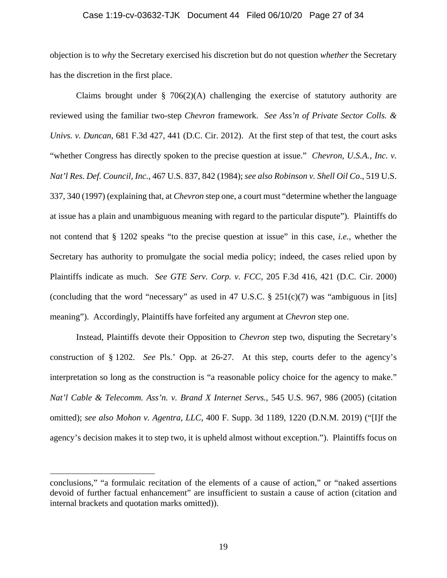### Case 1:19-cv-03632-TJK Document 44 Filed 06/10/20 Page 27 of 34

objection is to *why* the Secretary exercised his discretion but do not question *whether* the Secretary has the discretion in the first place.

Claims brought under  $\S$  706(2)(A) challenging the exercise of statutory authority are reviewed using the familiar two-step *Chevron* framework. *See Ass'n of Private Sector Colls. & Univs. v. Duncan*, 681 F.3d 427, 441 (D.C. Cir. 2012). At the first step of that test, the court asks "whether Congress has directly spoken to the precise question at issue." *Chevron, U.S.A., Inc. v. Nat'l Res. Def. Council, Inc.*, 467 U.S. 837, 842 (1984); *see also Robinson v. Shell Oil Co*., 519 U.S. 337, 340 (1997) (explaining that, at *Chevron* step one, a court must "determine whether the language at issue has a plain and unambiguous meaning with regard to the particular dispute"). Plaintiffs do not contend that § 1202 speaks "to the precise question at issue" in this case, *i.e.*, whether the Secretary has authority to promulgate the social media policy; indeed, the cases relied upon by Plaintiffs indicate as much. *See GTE Serv. Corp. v. FCC,* 205 F.3d 416, 421 (D.C. Cir. 2000) (concluding that the word "necessary" as used in 47 U.S.C.  $\S$  251(c)(7) was "ambiguous in [its] meaning"). Accordingly, Plaintiffs have forfeited any argument at *Chevron* step one.

 Instead, Plaintiffs devote their Opposition to *Chevron* step two, disputing the Secretary's construction of § 1202. *See* Pls.' Opp. at 26-27. At this step, courts defer to the agency's interpretation so long as the construction is "a reasonable policy choice for the agency to make." *Nat'l Cable & Telecomm. Ass'n. v. Brand X Internet Servs.*, 545 U.S. 967, 986 (2005) (citation omitted); *see also Mohon v. Agentra, LLC*, 400 F. Supp. 3d 1189, 1220 (D.N.M. 2019) ("[I]f the agency's decision makes it to step two, it is upheld almost without exception."). Plaintiffs focus on

conclusions," "a formulaic recitation of the elements of a cause of action," or "naked assertions devoid of further factual enhancement" are insufficient to sustain a cause of action (citation and internal brackets and quotation marks omitted)).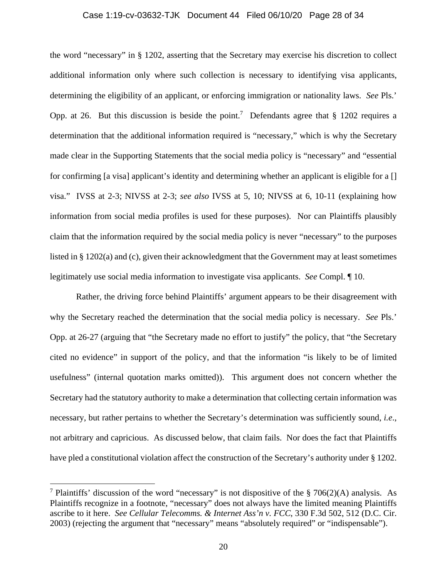### Case 1:19-cv-03632-TJK Document 44 Filed 06/10/20 Page 28 of 34

the word "necessary" in § 1202, asserting that the Secretary may exercise his discretion to collect additional information only where such collection is necessary to identifying visa applicants, determining the eligibility of an applicant, or enforcing immigration or nationality laws. *See* Pls.' Opp. at 26. But this discussion is beside the point.<sup>7</sup> Defendants agree that § 1202 requires a determination that the additional information required is "necessary," which is why the Secretary made clear in the Supporting Statements that the social media policy is "necessary" and "essential for confirming [a visa] applicant's identity and determining whether an applicant is eligible for a [] visa." IVSS at 2-3; NIVSS at 2-3; *see also* IVSS at 5, 10; NIVSS at 6, 10-11 (explaining how information from social media profiles is used for these purposes). Nor can Plaintiffs plausibly claim that the information required by the social media policy is never "necessary" to the purposes listed in § 1202(a) and (c), given their acknowledgment that the Government may at least sometimes legitimately use social media information to investigate visa applicants. *See* Compl. ¶ 10.

 Rather, the driving force behind Plaintiffs' argument appears to be their disagreement with why the Secretary reached the determination that the social media policy is necessary. *See* Pls.' Opp. at 26-27 (arguing that "the Secretary made no effort to justify" the policy, that "the Secretary cited no evidence" in support of the policy, and that the information "is likely to be of limited usefulness" (internal quotation marks omitted)). This argument does not concern whether the Secretary had the statutory authority to make a determination that collecting certain information was necessary, but rather pertains to whether the Secretary's determination was sufficiently sound, *i.e*., not arbitrary and capricious. As discussed below, that claim fails. Nor does the fact that Plaintiffs have pled a constitutional violation affect the construction of the Secretary's authority under § 1202.

<sup>&</sup>lt;sup>7</sup> Plaintiffs' discussion of the word "necessary" is not dispositive of the  $\S$  706(2)(A) analysis. As Plaintiffs recognize in a footnote, "necessary" does not always have the limited meaning Plaintiffs ascribe to it here. *See Cellular Telecomms. & Internet Ass'n v. FCC*, 330 F.3d 502, 512 (D.C. Cir. 2003) (rejecting the argument that "necessary" means "absolutely required" or "indispensable").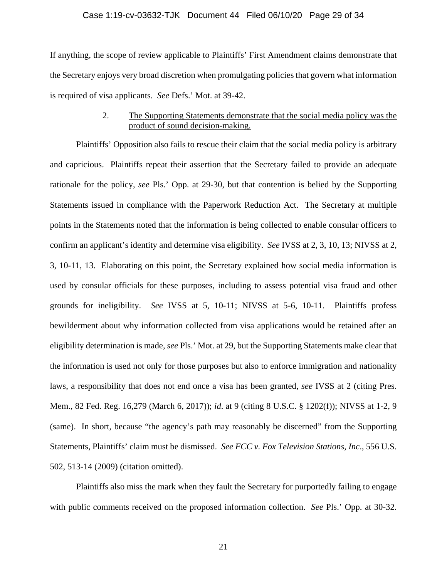#### Case 1:19-cv-03632-TJK Document 44 Filed 06/10/20 Page 29 of 34

If anything, the scope of review applicable to Plaintiffs' First Amendment claims demonstrate that the Secretary enjoys very broad discretion when promulgating policies that govern what information is required of visa applicants. *See* Defs.' Mot. at 39-42.

### 2. The Supporting Statements demonstrate that the social media policy was the product of sound decision-making.

Plaintiffs' Opposition also fails to rescue their claim that the social media policy is arbitrary and capricious. Plaintiffs repeat their assertion that the Secretary failed to provide an adequate rationale for the policy, *see* Pls.' Opp. at 29-30, but that contention is belied by the Supporting Statements issued in compliance with the Paperwork Reduction Act. The Secretary at multiple points in the Statements noted that the information is being collected to enable consular officers to confirm an applicant's identity and determine visa eligibility. *See* IVSS at 2, 3, 10, 13; NIVSS at 2, 3, 10-11, 13. Elaborating on this point, the Secretary explained how social media information is used by consular officials for these purposes, including to assess potential visa fraud and other grounds for ineligibility. *See* IVSS at 5, 10-11; NIVSS at 5-6, 10-11. Plaintiffs profess bewilderment about why information collected from visa applications would be retained after an eligibility determination is made, *see* Pls.' Mot. at 29, but the Supporting Statements make clear that the information is used not only for those purposes but also to enforce immigration and nationality laws, a responsibility that does not end once a visa has been granted, *see* IVSS at 2 (citing Pres. Mem., 82 Fed. Reg. 16,279 (March 6, 2017)); *id*. at 9 (citing 8 U.S.C. § 1202(f)); NIVSS at 1-2, 9 (same). In short, because "the agency's path may reasonably be discerned" from the Supporting Statements, Plaintiffs' claim must be dismissed. *See FCC v. Fox Television Stations, Inc*., 556 U.S. 502, 513-14 (2009) (citation omitted).

 Plaintiffs also miss the mark when they fault the Secretary for purportedly failing to engage with public comments received on the proposed information collection. *See* Pls.' Opp. at 30-32.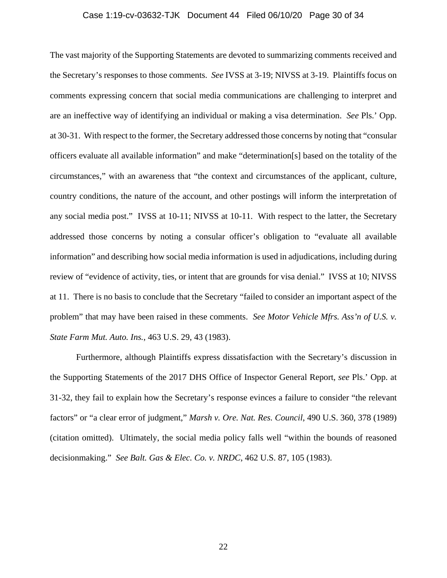### Case 1:19-cv-03632-TJK Document 44 Filed 06/10/20 Page 30 of 34

The vast majority of the Supporting Statements are devoted to summarizing comments received and the Secretary's responses to those comments. *See* IVSS at 3-19; NIVSS at 3-19. Plaintiffs focus on comments expressing concern that social media communications are challenging to interpret and are an ineffective way of identifying an individual or making a visa determination. *See* Pls.' Opp. at 30-31. With respect to the former, the Secretary addressed those concerns by noting that "consular officers evaluate all available information" and make "determination[s] based on the totality of the circumstances," with an awareness that "the context and circumstances of the applicant, culture, country conditions, the nature of the account, and other postings will inform the interpretation of any social media post." IVSS at 10-11; NIVSS at 10-11. With respect to the latter, the Secretary addressed those concerns by noting a consular officer's obligation to "evaluate all available information" and describing how social media information is used in adjudications, including during review of "evidence of activity, ties, or intent that are grounds for visa denial." IVSS at 10; NIVSS at 11. There is no basis to conclude that the Secretary "failed to consider an important aspect of the problem" that may have been raised in these comments. *See Motor Vehicle Mfrs. Ass'n of U.S. v. State Farm Mut. Auto. Ins.*, 463 U.S. 29, 43 (1983).

Furthermore, although Plaintiffs express dissatisfaction with the Secretary's discussion in the Supporting Statements of the 2017 DHS Office of Inspector General Report, *see* Pls.' Opp. at 31-32, they fail to explain how the Secretary's response evinces a failure to consider "the relevant factors" or "a clear error of judgment," *Marsh v. Ore. Nat. Res. Council*, 490 U.S. 360, 378 (1989) (citation omitted). Ultimately, the social media policy falls well "within the bounds of reasoned decisionmaking." *See Balt. Gas & Elec. Co. v. NRDC*, 462 U.S. 87, 105 (1983).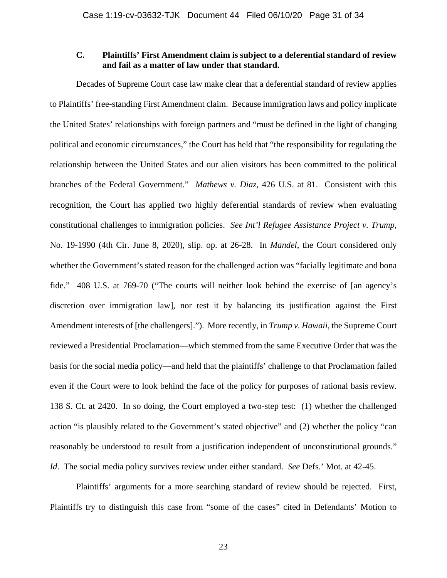### **C. Plaintiffs' First Amendment claim is subject to a deferential standard of review and fail as a matter of law under that standard.**

 Decades of Supreme Court case law make clear that a deferential standard of review applies to Plaintiffs' free-standing First Amendment claim. Because immigration laws and policy implicate the United States' relationships with foreign partners and "must be defined in the light of changing political and economic circumstances," the Court has held that "the responsibility for regulating the relationship between the United States and our alien visitors has been committed to the political branches of the Federal Government." *Mathews v. Diaz*, 426 U.S. at 81. Consistent with this recognition, the Court has applied two highly deferential standards of review when evaluating constitutional challenges to immigration policies. *See Int'l Refugee Assistance Project v. Trump*, No. 19-1990 (4th Cir. June 8, 2020), slip. op. at 26-28. In *Mandel*, the Court considered only whether the Government's stated reason for the challenged action was "facially legitimate and bona fide." 408 U.S. at 769-70 ("The courts will neither look behind the exercise of [an agency's discretion over immigration law], nor test it by balancing its justification against the First Amendment interests of [the challengers]."). More recently, in *Trump v. Hawaii*, the Supreme Court reviewed a Presidential Proclamation—which stemmed from the same Executive Order that was the basis for the social media policy—and held that the plaintiffs' challenge to that Proclamation failed even if the Court were to look behind the face of the policy for purposes of rational basis review. 138 S. Ct. at 2420. In so doing, the Court employed a two-step test: (1) whether the challenged action "is plausibly related to the Government's stated objective" and (2) whether the policy "can reasonably be understood to result from a justification independent of unconstitutional grounds." *Id*. The social media policy survives review under either standard. *See* Defs.' Mot. at 42-45.

 Plaintiffs' arguments for a more searching standard of review should be rejected. First, Plaintiffs try to distinguish this case from "some of the cases" cited in Defendants' Motion to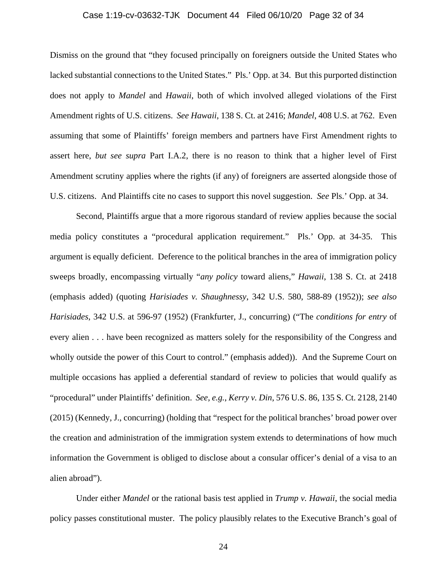### Case 1:19-cv-03632-TJK Document 44 Filed 06/10/20 Page 32 of 34

Dismiss on the ground that "they focused principally on foreigners outside the United States who lacked substantial connections to the United States." Pls.' Opp. at 34. But this purported distinction does not apply to *Mandel* and *Hawaii*, both of which involved alleged violations of the First Amendment rights of U.S. citizens. *See Hawaii*, 138 S. Ct. at 2416; *Mandel*, 408 U.S. at 762. Even assuming that some of Plaintiffs' foreign members and partners have First Amendment rights to assert here, *but see supra* Part I.A.2, there is no reason to think that a higher level of First Amendment scrutiny applies where the rights (if any) of foreigners are asserted alongside those of U.S. citizens. And Plaintiffs cite no cases to support this novel suggestion. *See* Pls.' Opp. at 34.

 Second, Plaintiffs argue that a more rigorous standard of review applies because the social media policy constitutes a "procedural application requirement." Pls.' Opp. at 34-35. This argument is equally deficient. Deference to the political branches in the area of immigration policy sweeps broadly, encompassing virtually "*any policy* toward aliens," *Hawaii*, 138 S. Ct. at 2418 (emphasis added) (quoting *Harisiades v. Shaughnessy*, 342 U.S. 580, 588-89 (1952)); *see also Harisiades*, 342 U.S. at 596-97 (1952) (Frankfurter, J., concurring) ("The *conditions for entry* of every alien . . . have been recognized as matters solely for the responsibility of the Congress and wholly outside the power of this Court to control." (emphasis added)). And the Supreme Court on multiple occasions has applied a deferential standard of review to policies that would qualify as "procedural" under Plaintiffs' definition. *See, e.g.*, *Kerry v. Din*, 576 U.S. 86, 135 S. Ct. 2128, 2140 (2015) (Kennedy, J., concurring) (holding that "respect for the political branches' broad power over the creation and administration of the immigration system extends to determinations of how much information the Government is obliged to disclose about a consular officer's denial of a visa to an alien abroad").

 Under either *Mandel* or the rational basis test applied in *Trump v. Hawaii*, the social media policy passes constitutional muster. The policy plausibly relates to the Executive Branch's goal of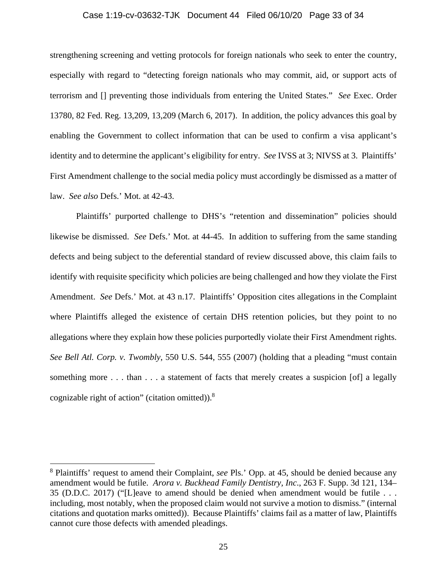#### Case 1:19-cv-03632-TJK Document 44 Filed 06/10/20 Page 33 of 34

strengthening screening and vetting protocols for foreign nationals who seek to enter the country, especially with regard to "detecting foreign nationals who may commit, aid, or support acts of terrorism and [] preventing those individuals from entering the United States." *See* Exec. Order 13780, 82 Fed. Reg. 13,209, 13,209 (March 6, 2017). In addition, the policy advances this goal by enabling the Government to collect information that can be used to confirm a visa applicant's identity and to determine the applicant's eligibility for entry. *See* IVSS at 3; NIVSS at 3. Plaintiffs' First Amendment challenge to the social media policy must accordingly be dismissed as a matter of law. *See also* Defs.' Mot. at 42-43.

 Plaintiffs' purported challenge to DHS's "retention and dissemination" policies should likewise be dismissed. *See* Defs.' Mot. at 44-45. In addition to suffering from the same standing defects and being subject to the deferential standard of review discussed above, this claim fails to identify with requisite specificity which policies are being challenged and how they violate the First Amendment. *See* Defs.' Mot. at 43 n.17. Plaintiffs' Opposition cites allegations in the Complaint where Plaintiffs alleged the existence of certain DHS retention policies, but they point to no allegations where they explain how these policies purportedly violate their First Amendment rights. *See Bell Atl. Corp. v. Twombly*, 550 U.S. 544, 555 (2007) (holding that a pleading "must contain something more . . . than . . . a statement of facts that merely creates a suspicion [of] a legally cognizable right of action" (citation omitted)).<sup>8</sup>

<sup>8</sup> Plaintiffs' request to amend their Complaint, *see* Pls.' Opp. at 45, should be denied because any amendment would be futile. *Arora v. Buckhead Family Dentistry, Inc*., 263 F. Supp. 3d 121, 134– 35 (D.D.C. 2017) ("[L]eave to amend should be denied when amendment would be futile . . . including, most notably, when the proposed claim would not survive a motion to dismiss." (internal citations and quotation marks omitted)). Because Plaintiffs' claims fail as a matter of law, Plaintiffs cannot cure those defects with amended pleadings.